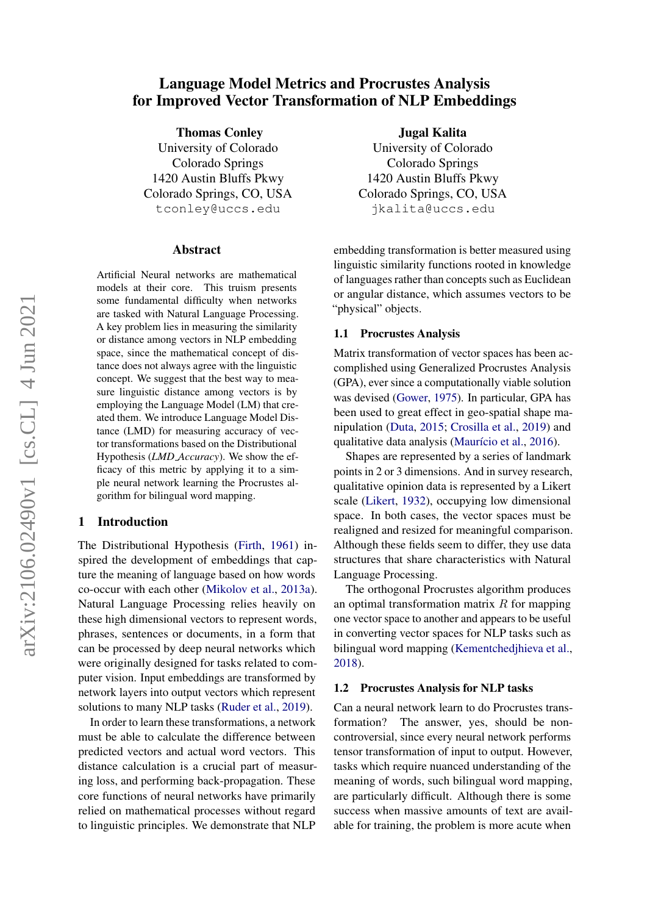# Language Model Metrics and Procrustes Analysis for Improved Vector Transformation of NLP Embeddings

Thomas Conley University of Colorado Colorado Springs 1420 Austin Bluffs Pkwy Colorado Springs, CO, USA

tconley@uccs.edu

#### Abstract

Artificial Neural networks are mathematical models at their core. This truism presents some fundamental difficulty when networks are tasked with Natural Language Processing. A key problem lies in measuring the similarity or distance among vectors in NLP embedding space, since the mathematical concept of distance does not always agree with the linguistic concept. We suggest that the best way to measure linguistic distance among vectors is by employing the Language Model (LM) that created them. We introduce Language Model Distance (LMD) for measuring accuracy of vector transformations based on the Distributional Hypothesis (*LMD Accuracy*). We show the efficacy of this metric by applying it to a simple neural network learning the Procrustes algorithm for bilingual word mapping.

# 1 Introduction

The Distributional Hypothesis [\(Firth,](#page-4-0) [1961\)](#page-4-0) inspired the development of embeddings that capture the meaning of language based on how words co-occur with each other [\(Mikolov et al.,](#page-4-1) [2013a\)](#page-4-1). Natural Language Processing relies heavily on these high dimensional vectors to represent words, phrases, sentences or documents, in a form that can be processed by deep neural networks which were originally designed for tasks related to computer vision. Input embeddings are transformed by network layers into output vectors which represent solutions to many NLP tasks [\(Ruder et al.,](#page-4-2) [2019\)](#page-4-2).

In order to learn these transformations, a network must be able to calculate the difference between predicted vectors and actual word vectors. This distance calculation is a crucial part of measuring loss, and performing back-propagation. These core functions of neural networks have primarily relied on mathematical processes without regard to linguistic principles. We demonstrate that NLP

Jugal Kalita University of Colorado Colorado Springs 1420 Austin Bluffs Pkwy Colorado Springs, CO, USA jkalita@uccs.edu

embedding transformation is better measured using linguistic similarity functions rooted in knowledge of languages rather than concepts such as Euclidean or angular distance, which assumes vectors to be "physical" objects.

#### 1.1 Procrustes Analysis

Matrix transformation of vector spaces has been accomplished using Generalized Procrustes Analysis (GPA), ever since a computationally viable solution was devised [\(Gower,](#page-4-3) [1975\)](#page-4-3). In particular, GPA has been used to great effect in geo-spatial shape manipulation [\(Duta,](#page-4-4) [2015;](#page-4-4) [Crosilla et al.,](#page-4-5) [2019\)](#page-4-5) and qualitative data analysis (Maurício et al., [2016\)](#page-4-6).

Shapes are represented by a series of landmark points in 2 or 3 dimensions. And in survey research, qualitative opinion data is represented by a Likert scale [\(Likert,](#page-4-7) [1932\)](#page-4-7), occupying low dimensional space. In both cases, the vector spaces must be realigned and resized for meaningful comparison. Although these fields seem to differ, they use data structures that share characteristics with Natural Language Processing.

The orthogonal Procrustes algorithm produces an optimal transformation matrix  $R$  for mapping one vector space to another and appears to be useful in converting vector spaces for NLP tasks such as bilingual word mapping [\(Kementchedjhieva et al.,](#page-4-8) [2018\)](#page-4-8).

#### 1.2 Procrustes Analysis for NLP tasks

Can a neural network learn to do Procrustes transformation? The answer, yes, should be noncontroversial, since every neural network performs tensor transformation of input to output. However, tasks which require nuanced understanding of the meaning of words, such bilingual word mapping, are particularly difficult. Although there is some success when massive amounts of text are available for training, the problem is more acute when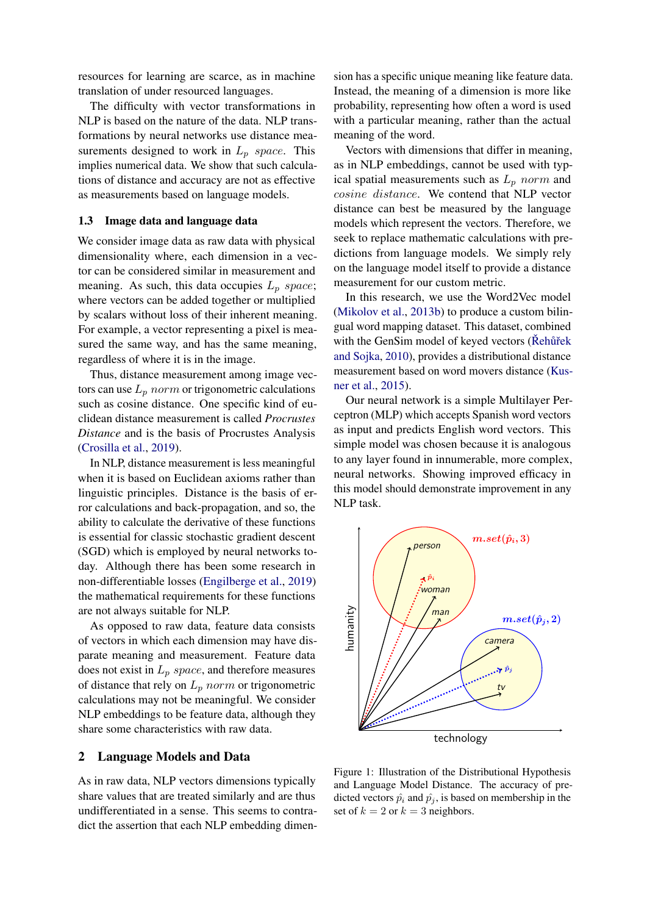resources for learning are scarce, as in machine translation of under resourced languages.

The difficulty with vector transformations in NLP is based on the nature of the data. NLP transformations by neural networks use distance measurements designed to work in  $L_p$  space. This implies numerical data. We show that such calculations of distance and accuracy are not as effective as measurements based on language models.

#### 1.3 Image data and language data

We consider image data as raw data with physical dimensionality where, each dimension in a vector can be considered similar in measurement and meaning. As such, this data occupies  $L_p$  space; where vectors can be added together or multiplied by scalars without loss of their inherent meaning. For example, a vector representing a pixel is measured the same way, and has the same meaning, regardless of where it is in the image.

Thus, distance measurement among image vectors can use  $L_p$  norm or trigonometric calculations such as cosine distance. One specific kind of euclidean distance measurement is called *Procrustes Distance* and is the basis of Procrustes Analysis [\(Crosilla et al.,](#page-4-5) [2019\)](#page-4-5).

In NLP, distance measurement is less meaningful when it is based on Euclidean axioms rather than linguistic principles. Distance is the basis of error calculations and back-propagation, and so, the ability to calculate the derivative of these functions is essential for classic stochastic gradient descent (SGD) which is employed by neural networks today. Although there has been some research in non-differentiable losses [\(Engilberge et al.,](#page-4-9) [2019\)](#page-4-9) the mathematical requirements for these functions are not always suitable for NLP.

As opposed to raw data, feature data consists of vectors in which each dimension may have disparate meaning and measurement. Feature data does not exist in  $L_p$  space, and therefore measures of distance that rely on  $L_p$  norm or trigonometric calculations may not be meaningful. We consider NLP embeddings to be feature data, although they share some characteristics with raw data.

#### 2 Language Models and Data

As in raw data, NLP vectors dimensions typically share values that are treated similarly and are thus undifferentiated in a sense. This seems to contradict the assertion that each NLP embedding dimen-

sion has a specific unique meaning like feature data. Instead, the meaning of a dimension is more like probability, representing how often a word is used with a particular meaning, rather than the actual meaning of the word.

Vectors with dimensions that differ in meaning, as in NLP embeddings, cannot be used with typical spatial measurements such as  $L_p$  norm and cosine distance. We contend that NLP vector distance can best be measured by the language models which represent the vectors. Therefore, we seek to replace mathematic calculations with predictions from language models. We simply rely on the language model itself to provide a distance measurement for our custom metric.

In this research, we use the Word2Vec model [\(Mikolov et al.,](#page-4-10) [2013b\)](#page-4-10) to produce a custom bilingual word mapping dataset. This dataset, combined with the GenSim model of keyed vectors (Rehûřek [and Sojka,](#page-4-11) [2010\)](#page-4-11), provides a distributional distance measurement based on word movers distance [\(Kus](#page-4-12)[ner et al.,](#page-4-12) [2015\)](#page-4-12).

Our neural network is a simple Multilayer Perceptron (MLP) which accepts Spanish word vectors as input and predicts English word vectors. This simple model was chosen because it is analogous to any layer found in innumerable, more complex, neural networks. Showing improved efficacy in this model should demonstrate improvement in any NLP task.

<span id="page-1-0"></span>

Figure 1: Illustration of the Distributional Hypothesis and Language Model Distance. The accuracy of predicted vectors  $\hat{p}_i$  and  $\hat{p}_j$ , is based on membership in the set of  $k = 2$  or  $k = 3$  neighbors.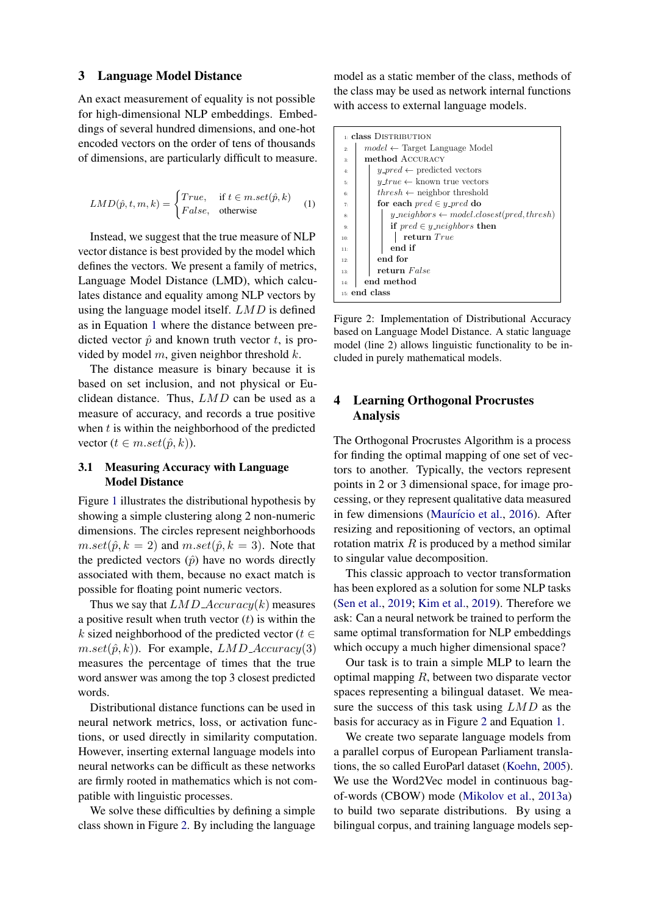#### 3 Language Model Distance

An exact measurement of equality is not possible for high-dimensional NLP embeddings. Embeddings of several hundred dimensions, and one-hot encoded vectors on the order of tens of thousands of dimensions, are particularly difficult to measure.

<span id="page-2-0"></span>
$$
LMD(\hat{p}, t, m, k) = \begin{cases} True, & \text{if } t \in m.set(\hat{p}, k) \\ False, & \text{otherwise} \end{cases}
$$
 (1)

Instead, we suggest that the true measure of NLP vector distance is best provided by the model which defines the vectors. We present a family of metrics, Language Model Distance (LMD), which calculates distance and equality among NLP vectors by using the language model itself. LMD is defined as in Equation [1](#page-2-0) where the distance between predicted vector  $\hat{p}$  and known truth vector t, is provided by model  $m$ , given neighbor threshold  $k$ .

The distance measure is binary because it is based on set inclusion, and not physical or Euclidean distance. Thus, LMD can be used as a measure of accuracy, and records a true positive when  $t$  is within the neighborhood of the predicted vector  $(t \in m.set(\hat{p},k)).$ 

### 3.1 Measuring Accuracy with Language Model Distance

Figure [1](#page-1-0) illustrates the distributional hypothesis by showing a simple clustering along 2 non-numeric dimensions. The circles represent neighborhoods  $m.set(\hat{p}, k = 2)$  and  $m.set(\hat{p}, k = 3)$ . Note that the predicted vectors  $(\hat{p})$  have no words directly associated with them, because no exact match is possible for floating point numeric vectors.

Thus we say that  $LMD\_Accuracy(k)$  measures a positive result when truth vector  $(t)$  is within the k sized neighborhood of the predicted vector ( $t \in$  $m.set(\hat{p}, k)$ . For example,  $LMD\_Accuracy(3)$ measures the percentage of times that the true word answer was among the top 3 closest predicted words.

Distributional distance functions can be used in neural network metrics, loss, or activation functions, or used directly in similarity computation. However, inserting external language models into neural networks can be difficult as these networks are firmly rooted in mathematics which is not compatible with linguistic processes.

We solve these difficulties by defining a simple class shown in Figure [2.](#page-2-1) By including the language

model as a static member of the class, methods of the class may be used as network internal functions with access to external language models.

<span id="page-2-1"></span>

| <b>E</b> class DISTRIBUTION |                                                                                             |
|-----------------------------|---------------------------------------------------------------------------------------------|
| 2:                          | $model \leftarrow$ Target Language Model                                                    |
| 3:                          | method ACCURACY                                                                             |
| 4:                          | $y\_pred \leftarrow$ predicted vectors                                                      |
| 5.                          | $y\_true \leftarrow$ known true vectors                                                     |
| 6:                          | $thresh \leftarrow$ neighbor threshold                                                      |
| 7:                          | for each $pred \in y\_pred$ do                                                              |
| 8:                          | $y_{\textit{-}neighbors} \leftarrow \textit{model.closest}(\textit{pred}, \textit{thresh})$ |
| 9:                          | if $pred \in y_{\text{}-neighbors}$ then                                                    |
| 10:                         | return True                                                                                 |
| 11:                         | end if                                                                                      |
| 12:                         | end for                                                                                     |
| 13:                         | return False                                                                                |
| 14:                         | end method                                                                                  |
| 15: end class               |                                                                                             |

Figure 2: Implementation of Distributional Accuracy based on Language Model Distance. A static language model (line 2) allows linguistic functionality to be included in purely mathematical models.

# 4 Learning Orthogonal Procrustes Analysis

The Orthogonal Procrustes Algorithm is a process for finding the optimal mapping of one set of vectors to another. Typically, the vectors represent points in 2 or 3 dimensional space, for image processing, or they represent qualitative data measured in few dimensions (Maurício et al., [2016\)](#page-4-6). After resizing and repositioning of vectors, an optimal rotation matrix  $R$  is produced by a method similar to singular value decomposition.

This classic approach to vector transformation has been explored as a solution for some NLP tasks [\(Sen et al.,](#page-4-13) [2019;](#page-4-13) [Kim et al.,](#page-4-14) [2019\)](#page-4-14). Therefore we ask: Can a neural network be trained to perform the same optimal transformation for NLP embeddings which occupy a much higher dimensional space?

Our task is to train a simple MLP to learn the optimal mapping  $R$ , between two disparate vector spaces representing a bilingual dataset. We measure the success of this task using LMD as the basis for accuracy as in Figure [2](#page-2-1) and Equation [1.](#page-2-0)

We create two separate language models from a parallel corpus of European Parliament translations, the so called EuroParl dataset [\(Koehn,](#page-4-15) [2005\)](#page-4-15). We use the Word2Vec model in continuous bagof-words (CBOW) mode [\(Mikolov et al.,](#page-4-1) [2013a\)](#page-4-1) to build two separate distributions. By using a bilingual corpus, and training language models sep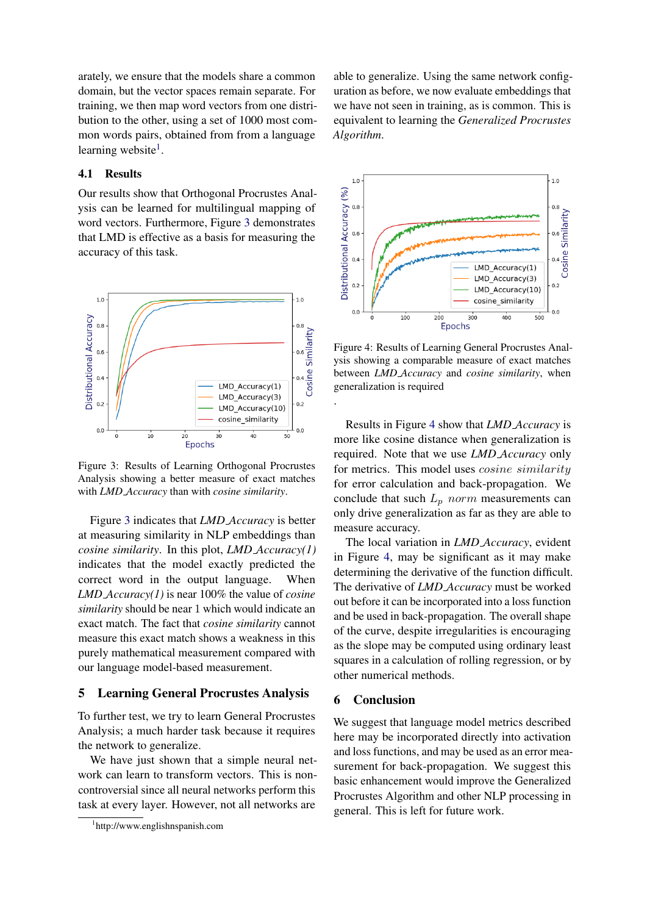arately, we ensure that the models share a common domain, but the vector spaces remain separate. For training, we then map word vectors from one distribution to the other, using a set of 1000 most common words pairs, obtained from from a language learning website<sup>[1](#page-3-0)</sup>.

## 4.1 Results

Our results show that Orthogonal Procrustes Analysis can be learned for multilingual mapping of word vectors. Furthermore, Figure [3](#page-3-1) demonstrates that LMD is effective as a basis for measuring the accuracy of this task.

<span id="page-3-1"></span>

Figure 3: Results of Learning Orthogonal Procrustes Analysis showing a better measure of exact matches with *LMD Accuracy* than with *cosine similarity*.

Figure [3](#page-3-1) indicates that *LMD Accuracy* is better at measuring similarity in NLP embeddings than *cosine similarity*. In this plot, *LMD Accuracy(1)* indicates that the model exactly predicted the correct word in the output language. When *LMD Accuracy(1)* is near 100% the value of *cosine similarity* should be near 1 which would indicate an exact match. The fact that *cosine similarity* cannot measure this exact match shows a weakness in this purely mathematical measurement compared with our language model-based measurement.

#### 5 Learning General Procrustes Analysis

To further test, we try to learn General Procrustes Analysis; a much harder task because it requires the network to generalize.

We have just shown that a simple neural network can learn to transform vectors. This is noncontroversial since all neural networks perform this task at every layer. However, not all networks are

able to generalize. Using the same network configuration as before, we now evaluate embeddings that we have not seen in training, as is common. This is equivalent to learning the *Generalized Procrustes Algorithm*.

<span id="page-3-2"></span>

Figure 4: Results of Learning General Procrustes Analysis showing a comparable measure of exact matches between *LMD Accuracy* and *cosine similarity*, when generalization is required

Results in Figure [4](#page-3-2) show that *LMD Accuracy* is more like cosine distance when generalization is required. Note that we use *LMD Accuracy* only for metrics. This model uses cosine similarity for error calculation and back-propagation. We conclude that such  $L_p$  norm measurements can only drive generalization as far as they are able to measure accuracy.

The local variation in *LMD Accuracy*, evident in Figure [4,](#page-3-2) may be significant as it may make determining the derivative of the function difficult. The derivative of *LMD Accuracy* must be worked out before it can be incorporated into a loss function and be used in back-propagation. The overall shape of the curve, despite irregularities is encouraging as the slope may be computed using ordinary least squares in a calculation of rolling regression, or by other numerical methods.

### 6 Conclusion

.

We suggest that language model metrics described here may be incorporated directly into activation and loss functions, and may be used as an error measurement for back-propagation. We suggest this basic enhancement would improve the Generalized Procrustes Algorithm and other NLP processing in general. This is left for future work.

<span id="page-3-0"></span><sup>1</sup> http://www.englishnspanish.com